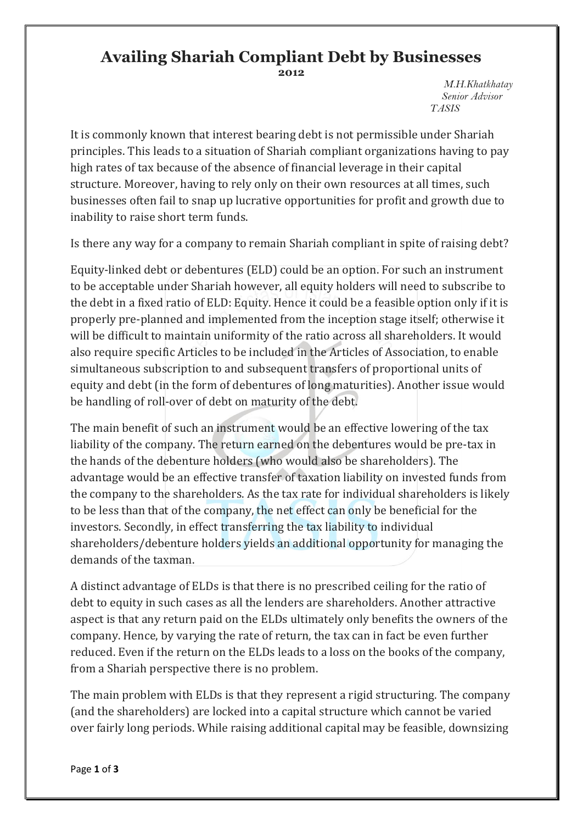## **Availing Shariah Compliant Debt by Businesses 2012**

 *M.H.Khatkhatay Senior Advisor TASIS*

It is commonly known that interest bearing debt is not permissible under Shariah principles. This leads to a situation of Shariah compliant organizations having to pay high rates of tax because of the absence of financial leverage in their capital structure. Moreover, having to rely only on their own resources at all times, such businesses often fail to snap up lucrative opportunities for profit and growth due to inability to raise short term funds.

Is there any way for a company to remain Shariah compliant in spite of raising debt?

Equity-linked debt or debentures (ELD) could be an option. For such an instrument to be acceptable under Shariah however, all equity holders will need to subscribe to the debt in a fixed ratio of ELD: Equity. Hence it could be a feasible option only if it is properly pre-planned and implemented from the inception stage itself; otherwise it will be difficult to maintain uniformity of the ratio across all shareholders. It would also require specific Articles to be included in the Articles of Association, to enable simultaneous subscription to and subsequent transfers of proportional units of equity and debt (in the form of debentures of long maturities). Another issue would be handling of roll-over of debt on maturity of the debt.

The main benefit of such an instrument would be an effective lowering of the tax liability of the company. The return earned on the debentures would be pre-tax in the hands of the debenture holders (who would also be shareholders). The advantage would be an effective transfer of taxation liability on invested funds from the company to the shareholders. As the tax rate for individual shareholders is likely to be less than that of the company, the net effect can only be beneficial for the investors. Secondly, in effect transferring the tax liability to individual shareholders/debenture holders yields an additional opportunity for managing the demands of the taxman.

A distinct advantage of ELDs is that there is no prescribed ceiling for the ratio of debt to equity in such cases as all the lenders are shareholders. Another attractive aspect is that any return paid on the ELDs ultimately only benefits the owners of the company. Hence, by varying the rate of return, the tax can in fact be even further reduced. Even if the return on the ELDs leads to a loss on the books of the company, from a Shariah perspective there is no problem.

The main problem with ELDs is that they represent a rigid structuring. The company (and the shareholders) are locked into a capital structure which cannot be varied over fairly long periods. While raising additional capital may be feasible, downsizing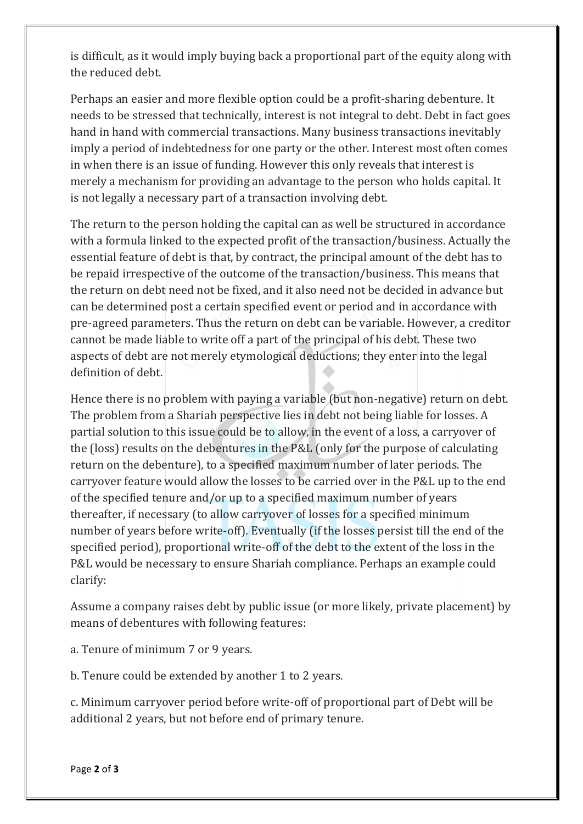is difficult, as it would imply buying back a proportional part of the equity along with the reduced debt.

Perhaps an easier and more flexible option could be a profit-sharing debenture. It needs to be stressed that technically, interest is not integral to debt. Debt in fact goes hand in hand with commercial transactions. Many business transactions inevitably imply a period of indebtedness for one party or the other. Interest most often comes in when there is an issue of funding. However this only reveals that interest is merely a mechanism for providing an advantage to the person who holds capital. It is not legally a necessary part of a transaction involving debt.

The return to the person holding the capital can as well be structured in accordance with a formula linked to the expected profit of the transaction/business. Actually the essential feature of debt is that, by contract, the principal amount of the debt has to be repaid irrespective of the outcome of the transaction/business. This means that the return on debt need not be fixed, and it also need not be decided in advance but can be determined post a certain specified event or period and in accordance with pre-agreed parameters. Thus the return on debt can be variable. However, a creditor cannot be made liable to write off a part of the principal of his debt. These two aspects of debt are not merely etymological deductions; they enter into the legal definition of debt.

Hence there is no problem with paying a variable (but non-negative) return on debt. The problem from a Shariah perspective lies in debt not being liable for losses. A partial solution to this issue could be to allow, in the event of a loss, a carryover of the (loss) results on the debentures in the P&L (only for the purpose of calculating return on the debenture), to a specified maximum number of later periods. The carryover feature would allow the losses to be carried over in the P&L up to the end of the specified tenure and/or up to a specified maximum number of years thereafter, if necessary (to allow carryover of losses for a specified minimum number of years before write-off). Eventually (if the losses persist till the end of the specified period), proportional write-off of the debt to the extent of the loss in the P&L would be necessary to ensure Shariah compliance. Perhaps an example could clarify:

Assume a company raises debt by public issue (or more likely, private placement) by means of debentures with following features:

a. Tenure of minimum 7 or 9 years.

b. Tenure could be extended by another 1 to 2 years.

c. Minimum carryover period before write-off of proportional part of Debt will be additional 2 years, but not before end of primary tenure.